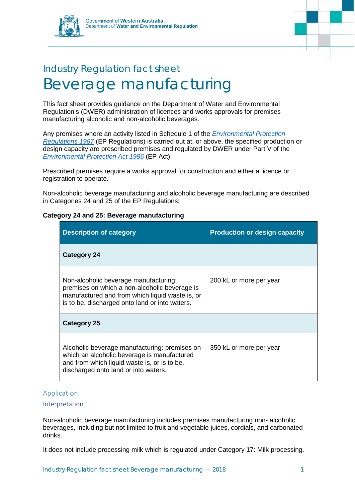



# Industry Regulation fact sheet Beverage manufacturing

This fact sheet provides guidance on the Department of Water and Environmental Regulation's (DWER) administration of licences and works approvals for premises manufacturing alcoholic and non-alcoholic beverages.

Any premises where an activity listed in Schedule 1 of the *[Environmental Protection](https://www.slp.wa.gov.au/legislation/statutes.nsf/main_mrtitle_1400_homepage.html)  [Regulations 1987](https://www.slp.wa.gov.au/legislation/statutes.nsf/main_mrtitle_1400_homepage.html)* (EP Regulations) is carried out at, or above, the specified production or design capacity are prescribed premises and regulated by DWER under Part V of the *[Environmental Protection Act 1986](https://www.slp.wa.gov.au/legislation/statutes.nsf/main_mrtitle_304_homepage.html)* (EP Act).

Prescribed premises require a works approval for construction and either a licence or registration to operate.

Non-alcoholic beverage manufacturing and alcoholic beverage manufacturing are described in Categories 24 and 25 of the EP Regulations:

| <b>Description of category</b>                                                                                                                                                              | <b>Production or design capacity</b> |
|---------------------------------------------------------------------------------------------------------------------------------------------------------------------------------------------|--------------------------------------|
| <b>Category 24</b>                                                                                                                                                                          |                                      |
| Non-alcoholic beverage manufacturing:<br>premises on which a non-alcoholic beverage is<br>manufactured and from which liquid waste is, or<br>is to be, discharged onto land or into waters. | 200 kL or more per year              |
| Category 25                                                                                                                                                                                 |                                      |
| Alcoholic beverage manufacturing: premises on<br>which an alcoholic beverage is manufactured<br>and from which liquid waste is, or is to be,<br>discharged onto land or into waters.        | 350 kL or more per year              |

## **Category 24 and 25: Beverage manufacturing**

## Application

### Interpretation

Non-alcoholic beverage manufacturing includes premises manufacturing non- alcoholic beverages, including but not limited to fruit and vegetable juices, cordials, and carbonated drinks.

It does not include processing milk which is regulated under Category 17: Milk processing.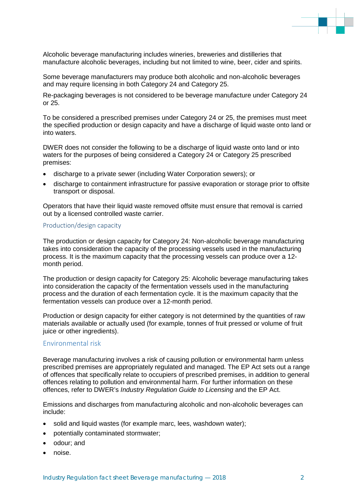

Alcoholic beverage manufacturing includes wineries, breweries and distilleries that manufacture alcoholic beverages, including but not limited to wine, beer, cider and spirits.

Some beverage manufacturers may produce both alcoholic and non-alcoholic beverages and may require licensing in both Category 24 and Category 25.

Re-packaging beverages is not considered to be beverage manufacture under Category 24 or 25.

To be considered a prescribed premises under Category 24 or 25, the premises must meet the specified production or design capacity and have a discharge of liquid waste onto land or into waters.

DWER does not consider the following to be a discharge of liquid waste onto land or into waters for the purposes of being considered a Category 24 or Category 25 prescribed premises:

- discharge to a private sewer (including Water Corporation sewers); or
- discharge to containment infrastructure for passive evaporation or storage prior to offsite transport or disposal.

Operators that have their liquid waste removed offsite must ensure that removal is carried out by a licensed controlled waste carrier.

#### Production/design capacity

The production or design capacity for Category 24: Non-alcoholic beverage manufacturing takes into consideration the capacity of the processing vessels used in the manufacturing process. It is the maximum capacity that the processing vessels can produce over a 12 month period.

The production or design capacity for Category 25: Alcoholic beverage manufacturing takes into consideration the capacity of the fermentation vessels used in the manufacturing process and the duration of each fermentation cycle. It is the maximum capacity that the fermentation vessels can produce over a 12-month period.

Production or design capacity for either category is not determined by the quantities of raw materials available or actually used (for example, tonnes of fruit pressed or volume of fruit juice or other ingredients).

## Environmental risk

Beverage manufacturing involves a risk of causing pollution or environmental harm unless prescribed premises are appropriately regulated and managed. The EP Act sets out a range of offences that specifically relate to occupiers of prescribed premises, in addition to general offences relating to pollution and environmental harm. For further information on these offences, refer to DWER's *Industry Regulation Guide to Licensing* and the EP Act.

Emissions and discharges from manufacturing alcoholic and non-alcoholic beverages can include:

- solid and liquid wastes (for example marc, lees, washdown water);
- potentially contaminated stormwater;
- odour; and
- noise.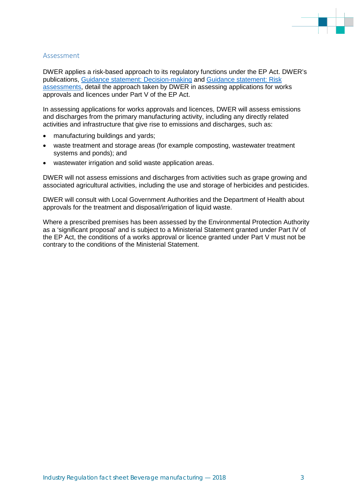

#### Assessment

DWER applies a risk-based approach to its regulatory functions under the EP Act. DWER's publications, [Guidance statement: Decision-making](https://www.der.wa.gov.au/images/documents/our-work/licences-and-works-approvals/GS_Decision_Making.pdf) and [Guidance statement: Risk](https://www.der.wa.gov.au/images/documents/our-work/licences-and-works-approvals/GS_Risk_Assessments.pdf)  [assessments,](https://www.der.wa.gov.au/images/documents/our-work/licences-and-works-approvals/GS_Risk_Assessments.pdf) detail the approach taken by DWER in assessing applications for works approvals and licences under Part V of the EP Act.

In assessing applications for works approvals and licences, DWER will assess emissions and discharges from the primary manufacturing activity, including any directly related activities and infrastructure that give rise to emissions and discharges, such as:

- manufacturing buildings and yards;
- waste treatment and storage areas (for example composting, wastewater treatment systems and ponds); and
- wastewater irrigation and solid waste application areas.

DWER will not assess emissions and discharges from activities such as grape growing and associated agricultural activities, including the use and storage of herbicides and pesticides.

DWER will consult with Local Government Authorities and the Department of Health about approvals for the treatment and disposal/irrigation of liquid waste.

Where a prescribed premises has been assessed by the Environmental Protection Authority as a 'significant proposal' and is subject to a Ministerial Statement granted under Part IV of the EP Act, the conditions of a works approval or licence granted under Part V must not be contrary to the conditions of the Ministerial Statement.